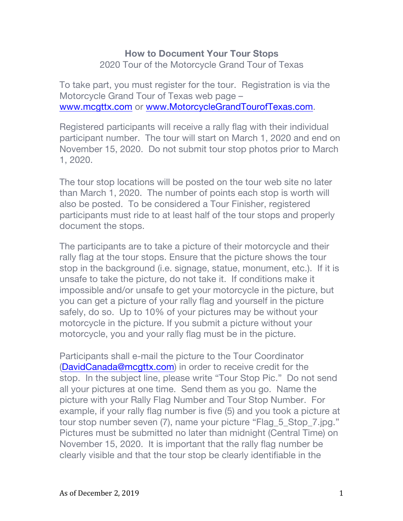## **How to Document Your Tour Stops**

2020 Tour of the Motorcycle Grand Tour of Texas

To take part, you must register for the tour. Registration is via the Motorcycle Grand Tour of Texas web page – www.mcgttx.com or www.MotorcycleGrandTourofTexas.com.

Registered participants will receive a rally flag with their individual participant number. The tour will start on March 1, 2020 and end on November 15, 2020. Do not submit tour stop photos prior to March 1, 2020.

The tour stop locations will be posted on the tour web site no later than March 1, 2020. The number of points each stop is worth will also be posted. To be considered a Tour Finisher, registered participants must ride to at least half of the tour stops and properly document the stops.

The participants are to take a picture of their motorcycle and their rally flag at the tour stops. Ensure that the picture shows the tour stop in the background (i.e. signage, statue, monument, etc.). If it is unsafe to take the picture, do not take it. If conditions make it impossible and/or unsafe to get your motorcycle in the picture, but you can get a picture of your rally flag and yourself in the picture safely, do so. Up to 10% of your pictures may be without your motorcycle in the picture. If you submit a picture without your motorcycle, you and your rally flag must be in the picture.

Participants shall e-mail the picture to the Tour Coordinator (DavidCanada@mcgttx.com) in order to receive credit for the stop. In the subject line, please write "Tour Stop Pic." Do not send all your pictures at one time. Send them as you go. Name the picture with your Rally Flag Number and Tour Stop Number. For example, if your rally flag number is five (5) and you took a picture at tour stop number seven (7), name your picture "Flag\_5\_Stop\_7.jpg." Pictures must be submitted no later than midnight (Central Time) on November 15, 2020. It is important that the rally flag number be clearly visible and that the tour stop be clearly identifiable in the